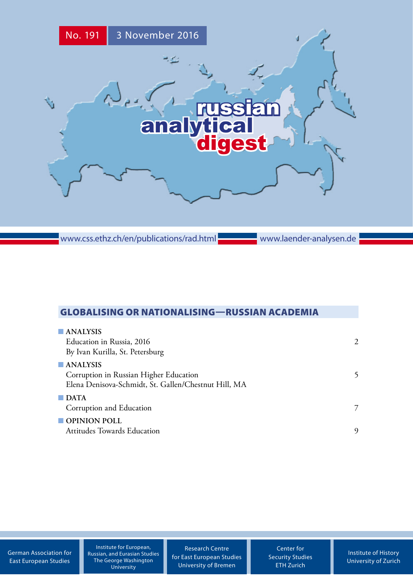

www.css.ethz.ch/en/publications/rad.html

www.laender-analysen.de

# GLOBALISING OR NATIONALISING—RUSSIAN ACADEMIA

| $\blacksquare$ ANALYSIS<br>Education in Russia, 2016<br>By Ivan Kurilla, St. Petersburg                                   | $\mathcal{D}$ |
|---------------------------------------------------------------------------------------------------------------------------|---------------|
| $\blacksquare$ ANALYSIS<br>Corruption in Russian Higher Education<br>Elena Denisova-Schmidt, St. Gallen/Chestnut Hill, MA | 5             |
| $\Box$ DATA<br>Corruption and Education                                                                                   | 7             |
| $\blacksquare$ OPINION POLL<br><b>Attitudes Towards Education</b>                                                         | 9             |

[German Association for](http://www.dgo-online.org/) [East European Studies](http://www.dgo-online.org/)

Institute for European, Russian, and Eurasian Studies The George Washington University

[Research Centre](http://www.forschungsstelle.uni-bremen.de/) [for East European Studies](http://www.forschungsstelle.uni-bremen.de/) [University of Bremen](http://www.forschungsstelle.uni-bremen.de/)

[Center for](http://www.css.ethz.ch/) [Security Studies](http://www.css.ethz.ch/) [ETH Zurich](http://www.css.ethz.ch/)

[Institute of History](http://www.hist.uzh.ch/) [University of](http://www.hist.uzh.ch/) Zurich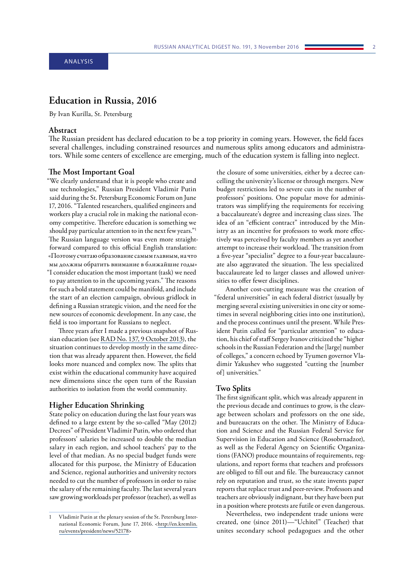# <span id="page-1-0"></span>**Education in Russia, 2016**

By Ivan Kurilla, St. Petersburg

# **Abstract**

The Russian president has declared education to be a top priority in coming years. However, the field faces several challenges, including constrained resources and numerous splits among educators and administrators. While some centers of excellence are emerging, much of the education system is falling into neglect.

#### **The Most Important Goal**

"We clearly understand that it is people who create and use technologies," Russian President Vladimir Putin said during the St. Petersburg Economic Forum on June 17, 2016. "Talented researchers, qualified engineers and workers play a crucial role in making the national economy competitive. Therefore education is something we should pay particular attention to in the next few years."1 The Russian language version was even more straightforward compared to this official English translation: «Поэтому считаю образование самым главным, на что мы должны обратить внимание в ближайшие годы» "I consider education the most important (task) we need to pay attention to in the upcoming years." The reasons for such a bold statement could be manifold, and include the start of an election campaign, obvious gridlock in defining a Russian strategic vision, and the need for the new sources of economic development. In any case, the field is too important for Russians to neglect.

Three years after I made a previous snapshot of Russian education (see [RAD No. 137, 9 October 2013](http://www.css.ethz.ch/content/specialinterest/gess/cis/center-for-securities-studies/en/publications/rad/rad-all-issues/details.html?id=/n/o/1/3/no_137_russia_and_higher_educationnr_137)), the situation continues to develop mostly in the same direction that was already apparent then. However, the field looks more nuanced and complex now. The splits that exist within the educational community have acquired new dimensions since the open turn of the Russian authorities to isolation from the world community.

## **Higher Education Shrinking**

State policy on education during the last four years was defined to a large extent by the so-called "May (2012) Decrees" of President Vladimir Putin, who ordered that professors' salaries be increased to double the median salary in each region, and school teachers' pay to the level of that median. As no special budget funds were allocated for this purpose, the Ministry of Education and Science, regional authorities and university rectors needed to cut the number of professors in order to raise the salary of the remaining faculty. The last several years saw growing workloads per professor (teacher), as well as

the closure of some universities, either by a decree cancelling the university's license or through mergers. New budget restrictions led to severe cuts in the number of professors' positions. One popular move for administrators was simplifying the requirements for receiving a baccalaureate's degree and increasing class sizes. The idea of an "efficient contract" introduced by the Ministry as an incentive for professors to work more effectively was perceived by faculty members as yet another attempt to increase their workload. The transition from a five-year "specialist" degree to a four-year baccalaureate also aggravated the situation. The less specialized baccalaureate led to larger classes and allowed universities to offer fewer disciplines.

Another cost-cutting measure was the creation of "federal universities" in each federal district (usually by merging several existing universities in one city or sometimes in several neighboring cities into one institution), and the process continues until the present. While President Putin called for "particular attention" to education, his chief of staff Sergey Ivanov criticized the "higher schools in the Russian Federation and the [large] number of colleges," a concern echoed by Tyumen governor Vladimir Yakushev who suggested "cutting the [number of] universities."

#### **Two Splits**

The first significant split, which was already apparent in the previous decade and continues to grow, is the cleavage between scholars and professors on the one side, and bureaucrats on the other. The Ministry of Education and Science and the Russian Federal Service for Supervision in Education and Science (Rosobrnadzor), as well as the Federal Agency on Scientific Organizations (FANO) produce mountains of requirements, regulations, and report forms that teachers and professors are obliged to fill out and file. The bureaucracy cannot rely on reputation and trust, so the state invents paper reports that replace trust and peer-review. Professors and teachers are obviously indignant, but they have been put in a position where protests are futile or even dangerous.

Nevertheless, two independent trade unions were created, one (since 2011)—"Uchitel" (Teacher) that unites secondary school pedagogues and the other

Vladimir Putin at the plenary session of the St. Petersburg International Economic Forum, June 17, 2016. <[http://en.kremlin.](http://en.kremlin.ru/events/president/news/52178) [ru/events/president/news/52178>](http://en.kremlin.ru/events/president/news/52178)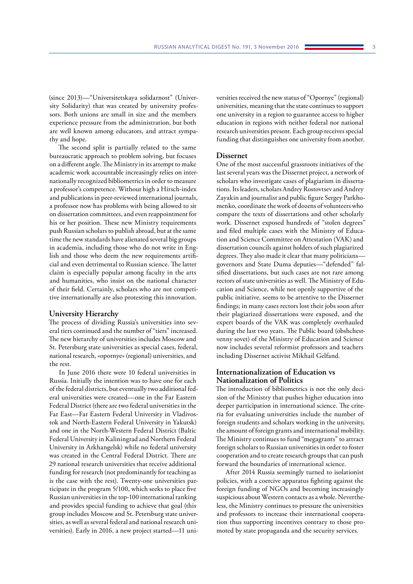(since 2013)—"Universitetskaya solidarnost" (University Solidarity) that was created by university professors. Both unions are small in size and the members experience pressure from the administration, but both are well known among educators, and attract sympathy and hope.

The second split is partially related to the same bureaucratic approach to problem solving, but focuses on a different angle. The Ministry in its attempt to make academic work accountable increasingly relies on internationally recognized bibliometrics in order to measure a professor's competence. Without high a Hirsch-index and publications in peer-reviewed international journals, a professor now has problems with being allowed to sit on dissertation committees, and even reappointment for his or her position. These new Ministry requirements push Russian scholars to publish abroad, but at the same time the new standards have alienated several big groups in academia, including those who do not write in English and those who deem the new requirements artificial and even detrimental to Russian science. The latter claim is especially popular among faculty in the arts and humanities, who insist on the national character of their field. Certainly, scholars who are not competitive internationally are also protesting this innovation.

## **University Hierarchy**

The process of dividing Russia's universities into several tiers continued and the number of "tiers" increased. The new hierarchy of universities includes Moscow and St. Petersburg state universities as special cases, federal, national research, «opornye» (regional) universities, and the rest.

In June 2016 there were 10 federal universities in Russia. Initially the intention was to have one for each of the federal districts, but eventually two additional federal universities were created—one in the Far Eastern Federal District (there are two federal universities in the Far East—Far Eastern Federal University in Vladivostok and North-Eastern Federal University in Yakutsk) and one in the North-Western Federal District (Baltic Federal University in Kaliningrad and Northern Federal University in Arkhangelsk) while no federal university was created in the Central Federal District. There are 29 national research universities that receive additional funding for research (not predominantly for teaching as is the case with the rest). Twenty-one universities participate in the program 5/100, which seeks to place five Russian universities in the top-100 international ranking and provides special funding to achieve that goal (this group includes Moscow and St. Petersburg state universities, as well as several federal and national research universities). Early in 2016, a new project started—11 universities received the new status of "Opornye" (regional) universities, meaning that the state continues to support one university in a region to guarantee access to higher education in regions with neither federal nor national research universities present. Each group receives special funding that distinguishes one university from another.

### **Dissernet**

One of the most successful grassroots initiatives of the last several years was the Dissernet project, a network of scholars who investigate cases of plagiarism in dissertations. Its leaders, scholars Andrey Rostovtsev and Andrey Zayakin and journalist and public figure Sergey Parkhomenko, coordinate the work of dozens of volunteers who compare the texts of dissertations and other scholarly work. Dissernet exposed hundreds of "stolen degrees" and filed multiple cases with the Ministry of Education and Science Committee on Attestation (VAK) and dissertation councils against holders of such plagiarized degrees. They also made it clear that many politicians governors and State Duma deputies—"defended" falsified dissertations, but such cases are not rare among rectors of state universities as well. The Ministry of Education and Science, while not openly supportive of the public initiative, seems to be attentive to the Dissernet findings; in many cases rectors lost their jobs soon after their plagiarized dissertations were exposed, and the expert boards of the VAK was completely overhauled during the last two years. The Public board (obshchestvenny sovet) of the Ministry of Education and Science now includes several reformist professors and teachers including Dissernet activist Mikhail Gelfand.

# **Internationalization of Education vs Nationalization of Politics**

The introduction of bibliometrics is not the only decision of the Ministry that pushes higher education into deeper participation in international science. The criteria for evaluating universities include the number of foreign students and scholars working in the university, the amount of foreign grants and international mobility. The Ministry continues to fund "megagrants" to attract foreign scholars to Russian universities in order to foster cooperation and to create research groups that can push forward the boundaries of international science.

After 2014 Russia seemingly turned to isolationist policies, with a coercive apparatus fighting against the foreign funding of NGOs and becoming increasingly suspicious about Western contacts as a whole. Nevertheless, the Ministry continues to pressure the universities and professors to increase their international cooperation thus supporting incentives contrary to those promoted by state propaganda and the security services.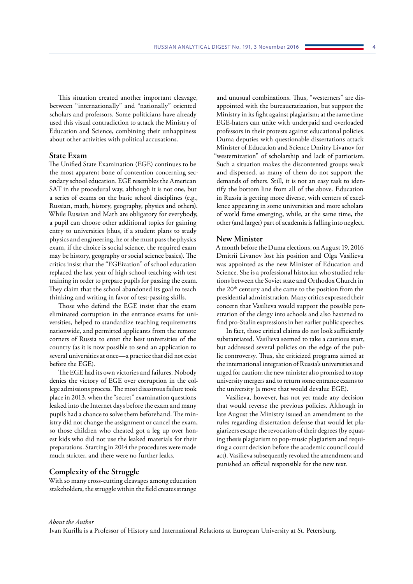This situation created another important cleavage, between "internationally" and "nationally" oriented scholars and professors. Some politicians have already used this visual contradiction to attack the Ministry of Education and Science, combining their unhappiness about other activities with political accusations.

### **State Exam**

The Unified State Examination (EGE) continues to be the most apparent bone of contention concerning secondary school education. EGE resembles the American SAT in the procedural way, although it is not one, but a series of exams on the basic school disciplines (e.g., Russian, math, history, geography, physics and others). While Russian and Math are obligatory for everybody, a pupil can choose other additional topics for gaining entry to universities (thus, if a student plans to study physics and engineering, he or she must pass the physics exam, if the choice is social science, the required exam may be history, geography or social science basics). The critics insist that the "EGEization" of school education replaced the last year of high school teaching with test training in order to prepare pupils for passing the exam. They claim that the school abandoned its goal to teach thinking and writing in favor of test-passing skills.

Those who defend the EGE insist that the exam eliminated corruption in the entrance exams for universities, helped to standardize teaching requirements nationwide, and permitted applicants from the remote corners of Russia to enter the best universities of the country (as it is now possible to send an application to several universities at once—a practice that did not exist before the EGE).

The EGE had its own victories and failures. Nobody denies the victory of EGE over corruption in the college admissions process. The most disastrous failure took place in 2013, when the "secret" examination questions leaked into the Internet days before the exam and many pupils had a chance to solve them beforehand. The ministry did not change the assignment or cancel the exam, so those children who cheated got a leg up over honest kids who did not use the leaked materials for their preparations. Starting in 2014 the procedures were made much stricter, and there were no further leaks.

### **Complexity of the Struggle**

With so many cross-cutting cleavages among education stakeholders, the struggle within the field creates strange

and unusual combinations. Thus, "westerners" are disappointed with the bureaucratization, but support the Ministry in its fight against plagiarism; at the same time EGE-haters can unite with underpaid and overloaded professors in their protests against educational policies. Duma deputies with questionable dissertations attack Minister of Education and Science Dmitry Livanov for "westernization" of scholarship and lack of patriotism. Such a situation makes the discontented groups weak and dispersed, as many of them do not support the demands of others. Still, it is not an easy task to identify the bottom line from all of the above. Education in Russia is getting more diverse, with centers of excellence appearing in some universities and more scholars of world fame emerging, while, at the same time, the other (and larger) part of academia is falling into neglect.

### **New Minister**

A month before the Duma elections, on August 19, 2016 Dmitrii Livanov lost his position and Olga Vasilieva was appointed as the new Minister of Education and Science. She is a professional historian who studied relations between the Soviet state and Orthodox Church in the 20th century and she came to the position from the presidential administration. Many critics expressed their concern that Vasilieva would support the possible penetration of the clergy into schools and also hastened to find pro-Stalin expressions in her earlier public speeches.

In fact, those critical claims do not look sufficiently substantiated. Vasilieva seemed to take a cautious start, but addressed several policies on the edge of the public controversy. Thus, she criticized programs aimed at the international integration of Russia's universities and urged for caution; the new minister also promised to stop university mergers and to return some entrance exams to the university (a move that would devalue EGE).

Vasilieva, however, has not yet made any decision that would reverse the previous policies. Although in late August the Ministry issued an amendment to the rules regarding dissertation defense that would let plagiarizers escape the revocation of their degrees (by equating thesis plagiarism to pop-music plagiarism and requiring a court decision before the academic council could act), Vasilieva subsequently revoked the amendment and punished an official responsible for the new text.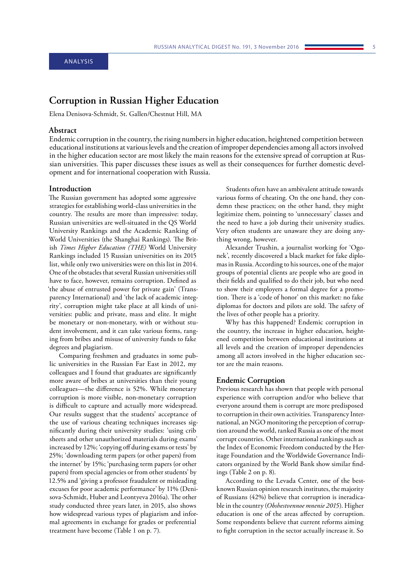# <span id="page-4-0"></span>ANALYSIS

# **Corruption in Russian Higher Education**

Elena Denisova-Schmidt, St. Gallen/Chestnut Hill, MA

# **Abstract**

Endemic corruption in the country, the rising numbers in higher education, heightened competition between educational institutions at various levels and the creation of improper dependencies among all actors involved in the higher education sector are most likely the main reasons for the extensive spread of corruption at Russian universities. This paper discusses these issues as well as their consequences for further domestic development and for international cooperation with Russia.

### **Introduction**

The Russian government has adopted some aggressive strategies for establishing world-class universities in the country. The results are more than impressive: today, Russian universities are well-situated in the QS World University Rankings and the Academic Ranking of World Universities (the Shanghai Rankings). The British *Times Higher Education (THE)* World University Rankings included 15 Russian universities on its 2015 list, while only two universities were on this list in 2014. One of the obstacles that several Russian universities still have to face, however, remains corruption. Defined as 'the abuse of entrusted power for private gain' (Transparency International) and 'the lack of academic integrity', corruption might take place at all kinds of universities: public and private, mass and elite. It might be monetary or non-monetary, with or without student involvement, and it can take various forms, ranging from bribes and misuse of university funds to fake degrees and plagiarism.

Comparing freshmen and graduates in some public universities in the Russian Far East in 2012, my colleagues and I found that graduates are significantly more aware of bribes at universities than their young colleagues—the difference is 52%. While monetary corruption is more visible, non-monetary corruption is difficult to capture and actually more widespread. Our results suggest that the students' acceptance of the use of various cheating techniques increases significantly during their university studies: 'using crib sheets and other unauthorized materials during exams' increased by 12%; 'copying off during exams or tests' by 25%; 'downloading term papers (or other papers) from the internet' by 15%; 'purchasing term papers (or other papers) from special agencies or from other students' by 12.5% and 'giving a professor fraudulent or misleading excuses for poor academic performance' by 11% (Denisova-Schmidt, Huber and Leontyeva 2016a). The other study conducted three years later, in 2015, also shows how widespread various types of plagiarism and informal agreements in exchange for grades or preferential treatment have become (Table 1 on p. 7).

Students often have an ambivalent attitude towards various forms of cheating. On the one hand, they condemn these practices; on the other hand, they might legitimize them, pointing to 'unnecessary' classes and the need to have a job during their university studies. Very often students are unaware they are doing anything wrong, however.

Alexander Trushin, a journalist working for 'Ogonek', recently discovered a black market for fake diplomas in Russia. According to his sources, one of the major groups of potential clients are people who are good in their fields and qualified to do their job, but who need to show their employers a formal degree for a promotion. There is a 'code of honor' on this market: no fake diplomas for doctors and pilots are sold. The safety of the lives of other people has a priority.

Why has this happened? Endemic corruption in the country, the increase in higher education, heightened competition between educational institutions at all levels and the creation of improper dependencies among all actors involved in the higher education sector are the main reasons.

### **Endemic Corruption**

Previous research has shown that people with personal experience with corruption and/or who believe that everyone around them is corrupt are more predisposed to corruption in their own activities. Transparency International, an NGO monitoring the perception of corruption around the world, ranked Russia as one of the most corrupt countries. Other international rankings such as the Index of Economic Freedom conducted by the Heritage Foundation and the Worldwide Governance Indicators organized by the World Bank show similar findings (Table 2 on p. 8).

According to the Levada Center, one of the bestknown Russian opinion research institutes, the majority of Russians (42%) believe that corruption is ineradicable in the country (*Obshestvennoe mnenie 2015*). Higher education is one of the areas affected by corruption. Some respondents believe that current reforms aiming to fight corruption in the sector actually increase it. So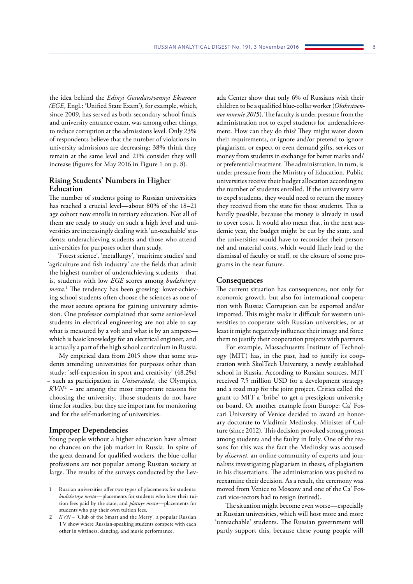the idea behind the *Edinyi Gosudarstvennyi Eksamen (EGE,* Engl.: 'Unified State Exam'), for example, which, since 2009, has served as both secondary school finals and university entrance exam, was among other things, to reduce corruption at the admissions level. Only 23% of respondents believe that the number of violations in university admissions are decreasing; 38% think they remain at the same level and 21% consider they will increase (figures for May 2016 in Figure 1 on p. 8).

# **Rising Students' Numbers in Higher Education**

The number of students going to Russian universities has reached a crucial level—about 80% of the 18–21 age cohort now enrolls in tertiary education. Not all of them are ready to study on such a high level and universities are increasingly dealing with 'un-teachable' students: underachieving students and those who attend universities for purposes other than study.

'Forest science', 'metallurgy', 'maritime studies' and 'agriculture and fish industry' are the fields that admit the highest number of underachieving students − that is, students with low *EGE* scores among *budzhetnye mesta.*<sup>1</sup> The tendency has been growing: lower-achieving school students often choose the sciences as one of the most secure options for gaining university admission. One professor complained that some senior-level students in electrical engineering are not able to say what is measured by a volt and what is by an ampere which is basic knowledge for an electrical engineer, and is actually a part of the high school curriculum in Russia.

My empirical data from 2015 show that some students attending universities for purposes other than study: 'self-expression in sport and creativity' (48.2%) − such as participation in *Universiada*, the Olympics, *KVN*<sup>2</sup>  *−* are among the most important reasons for choosing the university. Those students do not have time for studies, but they are important for monitoring and for the self-marketing of universities.

# **Improper Dependencies**

Young people without a higher education have almost no chances on the job market in Russia. In spite of the great demand for qualified workers, the blue-collar professions are not popular among Russian society at large. The results of the surveys conducted by the Lev-

ada Center show that only 6% of Russians wish their children to be a qualified blue-collar worker (*Obshestvennoe mnenie 2015*). The faculty is under pressure from the administration not to expel students for underachievement. How can they do this? They might water down their requirements, or ignore and/or pretend to ignore plagiarism, or expect or even demand gifts, services or money from students in exchange for better marks and/ or preferential treatment. The administration, in turn, is under pressure from the Ministry of Education. Public universities receive their budget allocation according to the number of students enrolled. If the university were to expel students, they would need to return the money they received from the state for those students. This is hardly possible, because the money is already in used to cover costs. It would also mean that, in the next academic year, the budget might be cut by the state, and the universities would have to reconsider their personnel and material costs, which would likely lead to the dismissal of faculty or staff, or the closure of some programs in the near future.

### **Consequences**

The current situation has consequences, not only for economic growth, but also for international cooperation with Russia: Corruption can be exported and/or imported. This might make it difficult for western universities to cooperate with Russian universities, or at least it might negatively influence their image and force them to justify their cooperation projects with partners.

For example, Massachusetts Institute of Technology (MIT) has, in the past, had to justify its cooperation with SkolTech University, a newly established school in Russia. According to Russian sources, MIT received 7.5 million USD for a development strategy and a road map for the joint project. Critics called the grant to MIT a 'bribe' to get a prestigious university on board. Or another example from Europe: Ca' Foscari University of Venice decided to award an honorary doctorate to Vladimir Medinsky, Minister of Culture (since 2012). This decision provoked strong protest among students and the faulty in Italy. One of the reasons for this was the fact the Medinsky was accused by *dissernet,* an online community of experts and journalists investigating plagiarism in theses, of plagiarism in his dissertations. The administration was pushed to reexamine their decision. As a result, the ceremony was moved from Venice to Moscow and one of the Ca' Foscari vice-rectors had to resign (retired).

The situation might become even worse—especially at Russian universities, which will host more and more 'unteachable' students. The Russian government will partly support this, because these young people will

<sup>1</sup> Russian universities offer two types of placements for students: *budzhetnye mesta—*placements for students who have their tuition fees paid by the state, and *platnye mesta—*placements for students who pay their own tuition fees.

*KVN* − 'Club of the Smart and the Merry', a popular Russian TV show where Russian-speaking students compete with each other in wittiness, dancing, and music performance.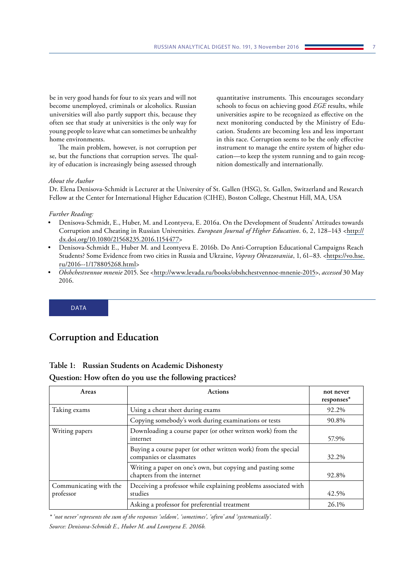<span id="page-6-0"></span>be in very good hands for four to six years and will not become unemployed, criminals or alcoholics. Russian universities will also partly support this, because they often see that study at universities is the only way for young people to leave what can sometimes be unhealthy home environments.

The main problem, however, is not corruption per se, but the functions that corruption serves. The quality of education is increasingly being assessed through quantitative instruments. This encourages secondary schools to focus on achieving good *EGE* results, while universities aspire to be recognized as effective on the next monitoring conducted by the Ministry of Education. Students are becoming less and less important in this race. Corruption seems to be the only effective instrument to manage the entire system of higher education—to keep the system running and to gain recognition domestically and internationally.

### *About the Author*

Dr. Elena Denisova-Schmidt is Lecturer at the University of St. Gallen (HSG), St. Gallen, Switzerland and Research Fellow at the Center for International Higher Education (CIHE), Boston College, Chestnut Hill, MA, USA

### *Further Reading:*

- Denisova-Schmidt, E., Huber, M. and Leontyeva, E. 2016a. On the Development of Students' Attitudes towards Corruption and Cheating in Russian Universities. *European Journal of Higher Education*. 6, 2, 128–143 <[http://](http://dx.doi.org/10.1080/21568235.2016.1154477) [dx.doi.org/10.1080/21568235.2016.1154477>](http://dx.doi.org/10.1080/21568235.2016.1154477)
- Denisova-Schmidt E., Huber M. and Leontyeva E. 2016b. Do Anti-Corruption Educational Campaigns Reach Students? Some Evidence from two cities in Russia and Ukraine, *Voprosy Obrazovaniia*, 1, 61–83. <[https://vo.hse.](https://vo.hse.ru/2016--1/178805268.html) [ru/2016--1/178805268.html](https://vo.hse.ru/2016--1/178805268.html)>
- *Obshchestvennoe mnenie* 2015. See <[http://www.levada.ru/books/obshchestvennoe-mnenie-2015>](http://www.levada.ru/books/obshchestvennoe-mnenie-2015), *accessed* 30 May 2016.

DATA

# **Corruption and Education**

# **Table 1: Russian Students on Academic Dishonesty**

**Question: How often do you use the following practices?**

| Areas                               | <b>Actions</b>                                                                            | not never<br>responses* |
|-------------------------------------|-------------------------------------------------------------------------------------------|-------------------------|
| Taking exams                        | Using a cheat sheet during exams                                                          | 92.2%                   |
|                                     | Copying somebody's work during examinations or tests                                      | 90.8%                   |
| Writing papers                      | Downloading a course paper (or other written work) from the<br>internet                   | 57.9%                   |
|                                     | Buying a course paper (or other written work) from the special<br>companies or classmates | 32.2%                   |
|                                     | Writing a paper on one's own, but copying and pasting some<br>chapters from the internet  | 92.8%                   |
| Communicating with the<br>professor | Deceiving a professor while explaining problems associated with<br>studies                | 42.5%                   |
|                                     | Asking a professor for preferential treatment                                             | 26.1%                   |

*\* 'not never' represents the sum of the responses 'seldom', 'sometimes', 'often' and 'systematically'. Source: Denisova-Schmidt E., Huber M. and Leontyeva E. 2016b.*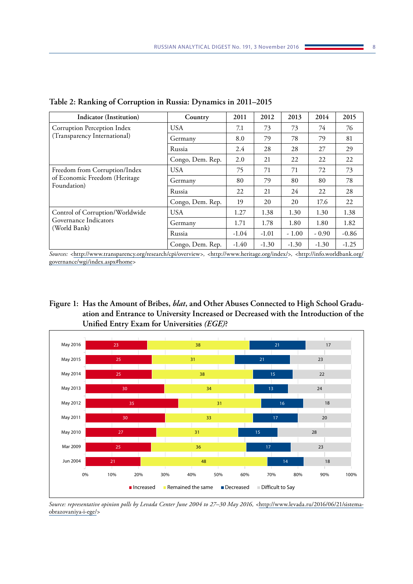| <b>Indicator (Institution)</b>                                                | Country          | 2011    | 2012    | 2013    | 2014    | 2015    |
|-------------------------------------------------------------------------------|------------------|---------|---------|---------|---------|---------|
| Corruption Perception Index<br>(Transparency International)                   | <b>USA</b>       | 7.1     | 73      | 73      | 74      | 76      |
|                                                                               | Germany          | 8.0     | 79      | 78      | 79      | 81      |
|                                                                               | Russia           | 2.4     | 28      | 28      | 27      | 29      |
|                                                                               | Congo, Dem. Rep. | 2.0     | 21      | 22      | 22      | 22      |
| Freedom from Corruption/Index<br>of Economic Freedom (Heritage<br>Foundation) | <b>USA</b>       | 75      | 71      | 71      | 72      | 73      |
|                                                                               | Germany          | 80      | 79      | 80      | 80      | 78      |
|                                                                               | Russia           | 22      | 21      | 24      | 22      | 28      |
|                                                                               | Congo, Dem. Rep. | 19      | 20      | 20      | 17.6    | 22      |
| Control of Corruption/Worldwide<br>Governance Indicators<br>(World Bank)      | <b>USA</b>       | 1.27    | 1.38    | 1.30    | 1.30    | 1.38    |
|                                                                               | Germany          | 1.71    | 1.78    | 1.80    | 1.80    | 1.82    |
|                                                                               | Russia           | $-1.04$ | $-1.01$ | $-1.00$ | $-0.90$ | $-0.86$ |
|                                                                               | Congo, Dem. Rep. | $-1.40$ | $-1.30$ | $-1.30$ | $-1.30$ | $-1.25$ |

**Table 2: Ranking of Corruption in Russia: Dynamics in 2011–2015**

*Sources: <*<http://www.transparency.org/research/cpi/overview>*>, <*<http://www.heritage.org/index/>*>, <*[http://info.worldbank.org/](http://info.worldbank.org/governance/wgi/index.aspx#home) [governance/wgi/index.aspx#home](http://info.worldbank.org/governance/wgi/index.aspx#home)*>*





*Source: representative opinion polls by Levada Center June 2004 to 27–30 May 2016, <*[http://www.levada.ru/2016/06/21/sistema](http://www.levada.ru/2016/06/21/sistema-obrazovaniya-i-ege/)[obrazovaniya-i-ege/](http://www.levada.ru/2016/06/21/sistema-obrazovaniya-i-ege/)*>*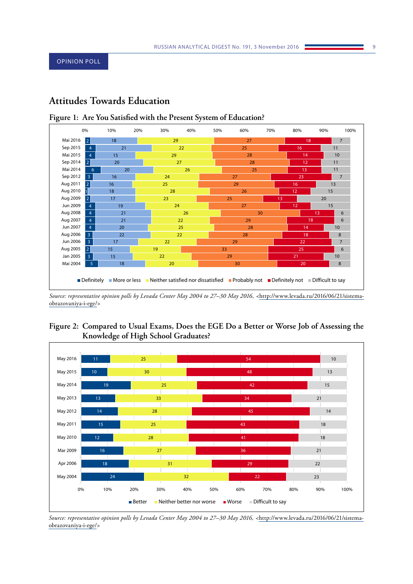# <span id="page-8-0"></span>**Attitudes Towards Education**



# **Figure 1: Are You Satisfied with the Present System of Education?**

*Source: representative opinion polls by Levada Center May 2004 to 27–30 May 2016, <*[http://www.levada.ru/2016/06/21/sistema](http://www.levada.ru/2016/06/21/sistema-obrazovaniya-i-ege/)[obrazovaniya-i-ege/](http://www.levada.ru/2016/06/21/sistema-obrazovaniya-i-ege/)*>*





*Source: representative opinion polls by Levada Center May 2004 to 27–30 May 2016, <*[http://www.levada.ru/2016/06/21/sistema](http://www.levada.ru/2016/06/21/sistema-obrazovaniya-i-ege/)[obrazovaniya-i-ege/](http://www.levada.ru/2016/06/21/sistema-obrazovaniya-i-ege/)*>*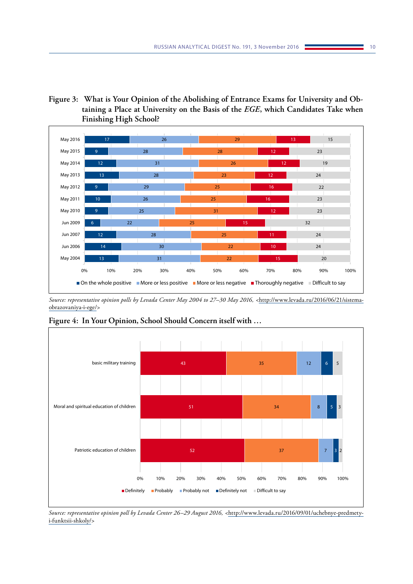**Figure 3: What is Your Opinion of the Abolishing of Entrance Exams for University and Obtaining a Place at University on the Basis of the** *EGE***, which Candidates Take when Finishing High School?**



*Source: representative opinion polls by Levada Center May 2004 to 27–30 May 2016, <*[http://www.levada.ru/2016/06/21/sistema](http://www.levada.ru/2016/06/21/sistema-obrazovaniya-i-ege/)[obrazovaniya-i-ege/](http://www.levada.ru/2016/06/21/sistema-obrazovaniya-i-ege/)*>*



**Figure 4: In Your Opinion, School Should Concern itself with …**

*Source: representative opinion poll by Levada Center 26–29 August 2016, <*[http://www.levada.ru/2016/09/01/uchebnye-predmety](http://www.levada.ru/2016/09/01/uchebnye-predmety-i-funktsii-shkoly/)[i-funktsii-shkoly/](http://www.levada.ru/2016/09/01/uchebnye-predmety-i-funktsii-shkoly/)*>*